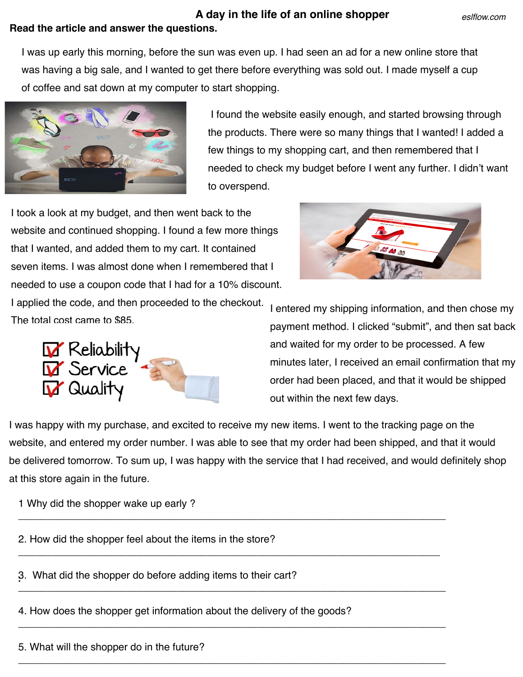## **Read the article and answer the questions. A day in the life of an online shopper**

I was up early this morning, before the sun was even up. I had seen an ad for a new online store that was having a big sale, and I wanted to get there before everything was sold out. I made myself a cup of coffee and sat down at my computer to start shopping.



I found the website easily enough, and started browsing through the products. There were so many things that I wanted! I added a few things to my shopping cart, and then remembered that I needed to check my budget before I went any further. I didn't want to overspend.

I took a look at my budget, and then went back to the website and continued shopping. I found a few more things that I wanted, and added them to my cart. It contained seven items. I was almost done when I remembered that I needed to use a coupon code that I had for a 10% discount. I applied the code, and then proceeded to the checkout. The total cost came to \$85.





I entered my shipping information, and then chose my payment method. I clicked "submit", and then sat back and waited for my order to be processed. A few minutes later, I received an email confirmation that my order had been placed, and that it would be shipped out within the next few days.

I was happy with my purchase, and excited to receive my new items. I went to the tracking page on the website, and entered my order number. I was able to see that my order had been shipped, and that it would be delivered tomorrow. To sum up, I was happy with the service that I had received, and would definitely shop at this store again in the future.

\_\_\_\_\_\_\_\_\_\_\_\_\_\_\_\_\_\_\_\_\_\_\_\_\_\_\_\_\_\_\_\_\_\_\_\_\_\_\_\_\_\_\_\_\_\_\_\_\_\_\_\_\_\_\_\_\_\_\_\_\_\_\_\_\_\_\_\_\_\_\_\_\_\_\_

\_\_\_\_\_\_\_\_\_\_\_\_\_\_\_\_\_\_\_\_\_\_\_\_\_\_\_\_\_\_\_\_\_\_\_\_\_\_\_\_\_\_\_\_\_\_\_\_\_\_\_\_\_\_\_\_\_\_\_\_\_\_\_\_\_\_\_\_\_\_\_\_\_\_

\_\_\_\_\_\_\_\_\_\_\_\_\_\_\_\_\_\_\_\_\_\_\_\_\_\_\_\_\_\_\_\_\_\_\_\_\_\_\_\_\_\_\_\_\_\_\_\_\_\_\_\_\_\_\_\_\_\_\_\_\_\_\_\_\_\_\_\_\_\_\_\_\_\_\_

\_\_\_\_\_\_\_\_\_\_\_\_\_\_\_\_\_\_\_\_\_\_\_\_\_\_\_\_\_\_\_\_\_\_\_\_\_\_\_\_\_\_\_\_\_\_\_\_\_\_\_\_\_\_\_\_\_\_\_\_\_\_\_\_\_\_\_\_\_\_\_\_\_\_\_

\_\_\_\_\_\_\_\_\_\_\_\_\_\_\_\_\_\_\_\_\_\_\_\_\_\_\_\_\_\_\_\_\_\_\_\_\_\_\_\_\_\_\_\_\_\_\_\_\_\_\_\_\_\_\_\_\_\_\_\_\_\_\_\_\_\_\_\_\_\_\_\_\_\_\_

1 Why did the shopper wake up early ?

2. How did the shopper feel about the items in the store?

**:** 3. What did the shopper do before adding items to their cart?

4. How does the shopper get information about the delivery of the goods?

5. What will the shopper do in the future?